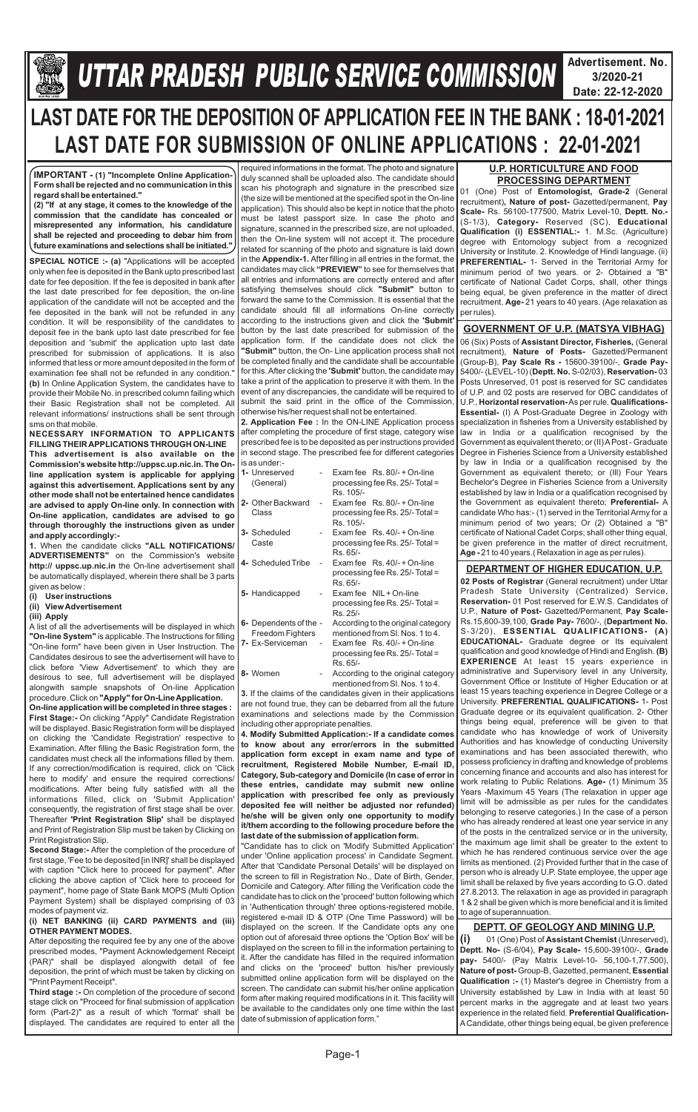

## **Gllej ØeosMe YetlelJe SJeb Keefvekeâce&** *U***efveosMeeueÙe DeOeervemLe ØeeefJeefOekeâ mesJee** *TTAR PRADESH PUBLIC SERVICE COMMISSION*

**Advertisement. No. 3/2020-21 Date: 22-12-2020**



# **LAST DATE FOR THE DEPOSITION OF APPLICATION FEE IN THE BANK : 18-01-2021 LAST DATE FOR SUBMISSION OF ONLINE APPLICATIONS : 22-01-2021**

**SPECIAL NOTICE :- (a)** "Applications will be accepted only when fee is deposited in the Bank upto prescribed last date for fee deposition. If the fee is deposited in bank after the last date prescribed for fee deposition, the on-line application of the candidate will not be accepted and the fee deposited in the bank will not be refunded in any condition. It will be responsibility of the candidates to deposit fee in the bank upto last date prescribed for fee deposition and 'submit' the application upto last date prescribed for submission of applications. It is also informed that less or more amount deposited in the form of examination fee shall not be refunded in any condition." **(b)** In Online Application System, the candidates have to provide their Mobile No. in prescribed column failing which their Basic Registration shall not be completed. All relevant informations/ instructions shall be sent through sms on that mobile.

**NECESSARY INFORMATION TO APPLICANTS FILLING THEIR APPLICATIONS THROUGH ON-LINE This advertisement is also available on the Commission's website http://uppsc.up.nic.in. The Online application system is applicable for applying against this advertisement. Applications sent by any other mode shall not be entertained hence candidates are advised to apply On-line only. In connection with On-line application, candidates are advised to go through thoroughly the instructions given as under and apply accordingly:-**

**1.** When the candidate clicks **"ALL NOTIFICATIONS/ ADVERTISEMENTS"** on the Commission's website **http:// uppsc.up.nic.in** the On-line advertisement shall be automatically displayed, wherein there shall be 3 parts given as below :

- **(i) User instructions**
- **(ii) View Advertisement**
- **(iii) Apply**

A list of all the advertisements will be displayed in which **"On-line System"** is applicable. The Instructions for filling "On-line form" have been given in User Instruction. The Candidates desirous to see the advertisement will have to click before 'View Advertisement' to which they are desirous to see, full advertisement will be displayed alongwith sample snapshots of On-line Application procedure. Click on **"Apply" for On-Line Application. On-line application will be completed in three stages : First Stage:-** On clicking "Apply" Candidate Registration will be displayed. Basic Registration form will be displayed on clicking the 'Candidate Registration' respective to Examination. After filling the Basic Registration form, the candidates must check all the informations filled by them. If any correction/modification is required, click on 'Click here to modify' and ensure the required corrections/ modifications. After being fully satisfied with all the informations filled, click on 'Submit Application' consequently, the registration of first stage shall be over. Thereafter **'Print Registration Slip'** shall be displayed

| <b>THE EQUEL THIR REGISTERION ONE</b> SHOW DE UISPIQUED       |
|---------------------------------------------------------------|
| and Print of Registration Slip must be taken by Clicking on I |
| Print Registration Slip.                                      |

**Second Stage:-** After the completion of the procedure of first stage, 'Fee to be deposited [in INR]' shall be displayed with caption "Click here to proceed for payment". After clicking the above caption of 'Click here to proceed for payment", home page of State Bank MOPS (Multi Option Payment System) shall be displayed comprising of 03 modes of payment viz.

#### **(i) NET BANKING (ii) CARD PAYMENTS and (iii) OTHER PAYMENT MODES.**

After depositing the required fee by any one of the above prescribed modes, "Payment Acknowledgement Receipt (PAR)" shall be displayed alongwith detail of fee deposition, the print of which must be taken by clicking on "Print Payment Receipt".

**Third stage :-** On completion of the procedure of second stage click on "Proceed for final submission of application form (Part-2)" as a result of which 'format' shall be displayed. The candidates are required to enter all the

required informations in the format. The photo and signature duly scanned shall be uploaded also. The candidate should scan his photograph and signature in the prescribed size (the size will be mentioned at the specified spot in the On-line application). This should also be kept in notice that the photo must be latest passport size. In case the photo and signature, scanned in the prescribed size, are not uploaded, then the On-line system will not accept it. The procedure related for scanning of the photo and signature is laid down in the **Appendix-1.** After filling in all entries in the format, the candidates may click **"PREVIEW"** to see for themselves that all entries and informations are correctly entered and after satisfying themselves should click **"Submit"** button to forward the same to the Commission. It is essential that the candidate should fill all informations On-line correctly according to the instructions given and click the **'Submit'**  button by the last date prescribed for submission of the application form. If the candidate does not click the **"Submit"** button, the On- Line application process shall not be completed finally and the candidate shall be accountable for this. After clicking the **'Submit'** button, the candidate may take a print of the application to preserve it with them. In the event of any discrepancies, the candidate will be required to submit the said print in the office of the Commission, otherwise his/her request shall not be entertained.

**2. Application Fee :** In the ON-LINE Application process after completing the procedure of first stage, category wise prescribed fee is to be deposited as per instructions provided in second stage. The prescribed fee for different categories is as under:-

| 1- Unreserved<br>(General)                 |    | Exam fee Rs. 80/- + On-line<br>processing fee Rs. 25/- Total =<br>Rs. 105/-      |
|--------------------------------------------|----|----------------------------------------------------------------------------------|
| 2- Other Backward<br>Class                 | ÷, | Exam fee $\,$ Rs. 80/- + On-line<br>processing fee Rs. 25/- Total =<br>Rs. 105/- |
| 3- Scheduled<br>Caste                      |    | Exam fee $\,$ Rs. 40/- + On-line<br>processing fee Rs. 25/- Total =<br>Rs. 65/-  |
| 4- Scheduled Tribe                         |    | Exam fee $\,$ Rs. 40/- + On-line<br>processing fee Rs. 25/- Total =<br>Rs. 65/-  |
| 5- Handicapped                             |    | Exam fee NIL + On-line<br>processing fee Rs. 25/- Total =<br>Rs. 25/-            |
| 6- Dependents of the -<br>Freedom Fighters |    | According to the original category<br>mentioned from SI, Nos. 1 to 4.            |
| 7- Ex-Serviceman                           |    | Exam fee $\,$ Rs. 40/- + On-line<br>processing fee Rs. 25/- Total =<br>Rs. 65/-  |
| 8- Women                                   |    | According to the original category<br>mentioned from SI, Nos, 1 to 4.            |
|                                            |    | 3. If the claims of the candidates given in their applications                   |

are not found true, they can be debarred from all the future examinations and selections made by the Commission including other appropriate penalties.

**4. Modify Submitted Application:- If a candidate comes to know about any error/errors in the submitted application form except in exam name and type of recruitment, Registered Mobile Number, E-mail ID, Category, Sub-category and Domicile (In case of error in these entries, candidate may submit new online application with prescribed fee only as previously deposited fee will neither be adjusted nor refunded) he/she will be given only one opportunity to modify** 

**it/them according to the following procedure before the last date of the submission of application form.**

"Candidate has to click on 'Modify Submitted Application' under 'Online application process' in Candidate Segment. After that 'Candidate Personal Details' will be displayed on the screen to fill in Registration No., Date of Birth, Gender, Domicile and Category. After filling the Verification code the candidate has to click on the 'proceed' button following which in 'Authentication through' three options-registered mobile, registered e-mail ID & OTP (One Time Password) will be displayed on the screen. If the Candidate opts any one option out of aforesaid three options the 'Option Box' will be displayed on the screen to fill in the information pertaining to it. After the candidate has filled in the required information and clicks on the 'proceed' button his/her previously submitted online application form will be displayed on the screen. The candidate can submit his/her online application form after making required modifications in it. This facility will be available to the candidates only one time within the last date of submission of application form."

**IMPORTANT - (1) "Incomplete Online Application-Form shall be rejected and no communication in this regard shall be entertained."**

**(2) "If at any stage, it comes to the knowledge of the commission that the candidate has concealed or misrepresented any information, his candidature shall be rejected and proceeding to debar him from future examinations and selections shall be initiated."**

## **GOVERNMENT OF U.P. (MATSYA VIBHAG)**

06 (Six) Posts of **Assistant Director, Fisheries,** (General recruitment), **Nature of Posts-** Gazetted/Permanent (Group-B), **Pay Scale Rs -** 15600-39100/-, **Grade Pay-**5400/- (LEVEL-10) (**Deptt. No.** S-02/03), **Reservation-** 03 Posts Unreserved, 01 post is reserved for SC candidates of U.P. and 02 posts are reserved for OBC candidates of U.P., **Horizontal reservation-**As per rule. **Qualifications-Essential-** (I) A Post-Graduate Degree in Zoology with specialization in fisheries from a University established by law in India or a qualification recognised by the Government as equivalent thereto; or (II) APost - Graduate Degree in Fisheries Science from a University established by law in India or a qualification recognised by the Government as equivalent thereto; or (Ill) Four Years Bechelor's Degree in Fisheries Science from a University established by law in India or a qualification recognised by the Government as equivalent thereto; **Preferential-** A candidate Who has:- (1) served in the Territorial Army for a minimum period of two years; Or (2) Obtained a "B" certificate of National Cadet Corps; shall other thing equal, be given preference in the matter of direct recruitment, **Age -** 21 to 40 years.( Relaxation in age as per rules).

**(i)** 01 (One) Post of **Assistant Chemist** (Unreserved), **Deptt. No-** (S-6/04), **Pay Scale-** 15,600-39100/-, **Grade pay-** 5400/- (Pay Matrix Level-10- 56,100-1,77,500), **Nature of post-** Group-B, Gazetted, permanent, **Essential Qualification :-** (1) Master's degree in Chemistry from a University established by Law in India with at least 50 percent marks in the aggregate and at least two years experience in the related field. **Preferential Qualification-**ACandidate, other things being equal, be given preference

### **DEPTT. OF GEOLOGY AND MINING U.P.**

01 (One) Post of **Entomologist, Grade-2**  (General recruitment)**, Nature of post-** Gazetted/permanent, **Pay Scale-** Rs. 56100-177500, Matrix Level-10, **Deptt. No.-** (S-1/3), **Category-** Reserved (SC), **Educational Qualification (i) ESSENTIAL:-** 1. M.Sc. (Agriculture) degree with Entomology subject from a recognized University or Institute. 2. Knowledge of Hindi language. (ii) **PREFERENTIAL-** 1- Served in the Territorial Army for minimum period of two years. or 2- Obtained a "B" certificate of National Cadet Corps, shall, other things being equal, be given preference in the matter of direct recruitment. **Age-** 21 years to 40 years. (Age relaxation as per rules).

## **U.P. HORTICULTURE AND FOOD PROCESSING DEPARTMENT**

## **DEPARTMENT OF HIGHER EDUCATION, U.P.**

**02 Posts of Registrar** (General recruitment) under Uttar Pradesh State University (Centralized) Service, **Reservation-** 01 Post reserved for E.W.S. Candidates of U.P., **Nature of Post-** Gazetted/Permanent, **Pay Scale-**Rs.15,600-39,100, **Grade Pay-** 7600/-, (**Department No.** S-3/20), **ESSENTIAL QUALIFICATIONS- (A) EDUCATIONAL-** Graduate degree or Its equivalent qualification and good knowledge of Hindi and English. **(B) EXPERIENCE** At least 15 years experience in administrative and Supervisory level in any University, Government Office or Institute of Higher Education or at least 15 years teaching experience in Degree College or a University. **PREFERENTIAL QUALIFICATIONS-** 1- Post Graduate degree or its equivalent qualification. 2- Other things being equal, preference will be given to that candidate who has knowledge of work of University Authorities and has knowledge of conducting University examinations and has been associated therewith, who possess proficiency in drafting and knowledge of problems concerning finance and accounts and also has interest for work relating to Public Relations. **Age-** (1) Minimum 35 Years -Maximum 45 Years (The relaxation in upper age limit will be admissible as per rules for the candidates belonging to reserve categories.) In the case of a person who has already rendered at least one year service in any of the posts in the centralized service or in the university, the maximum age limit shall be greater to the extent to which he has rendered continuous service over the age limits as mentioned. (2) Provided further that in the case of person who is already U.P. State employee, the upper age limit shall be relaxed by five years according to G.O. dated 27.8.2013. The relaxation in age as provided in paragraph 1 & 2 shall be given which is more beneficial and it is limited to age of superannuation.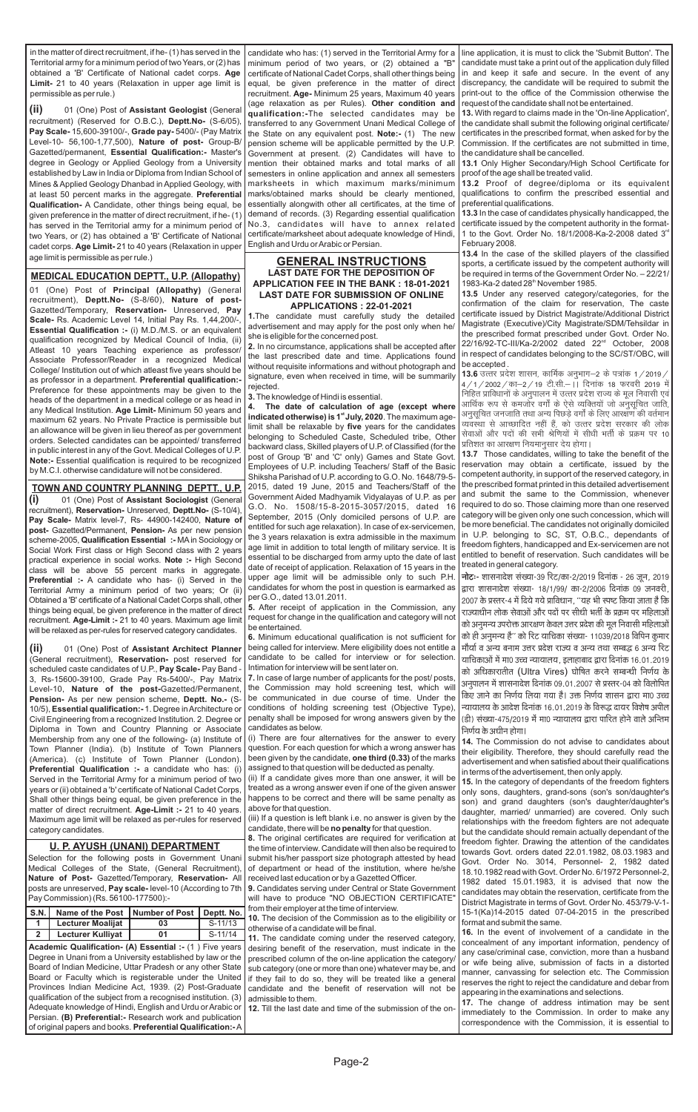(ii) 01 (One) Post of Assistant Geologist (General recruitment) (Reserved for O.B.C.), **Deptt.No-** (S-6/05), **Pay Scale-** 15,600-39100/-, **Grade pay-** 5400/- (Pay Matrix Level-10- 56,100-1,77,500), **Nature of post-** Group-B/ Gazetted/permanent, **Essential Qualification:-** Master's degree in Geology or Applied Geology from a University established by Law in India or Diploma from Indian School of Mines & Applied Geology Dhanbad in Applied Geology, with at least 50 percent marks in the aggregate. **Preferential Qualification-** A Candidate, other things being equal, be given preference in the matter of direct recruitment, if he- (1) has served in the Territorial army for a minimum period of two Years, or (2) has obtained a 'B' Certificate of National cadet corps. **Age Limit-** 21 to 40 years (Relaxation in upper age limit is permissible as per rule.)

01 (One) Post of **Principal (Allopathy)** (General recruitment), **Deptt.No-** (S-8/60), **Nature of post-**Gazetted/Temporary, **Reservation-** Unreserved, **Pay Scale-** Rs. Academic Level 14, Initial Pay Rs. 1,44,200/-, **Essential Qualification :-** (i) M.D./M.S. or an equivalent qualification recognized by Medical Council of India, (ii) Atleast 10 years Teaching experience as professor/ Associate Professor/Reader in a recognized Medical College/ Institution out of which atleast five years should be as professor in a department. **Preferential qualification:-** Preference for these appointments may be given to the heads of the department in a medical college or as head in any Medical Institution. **Age Limit-** Minimum 50 years and maximum 62 years. No Private Practice is permissible but an allowance will be given in lieu thereof as per government orders. Selected candidates can be appointed/ transferred in public interest in any of the Govt. Medical Colleges of U.P. **Note:-** Essential qualification is required to be recognized by M.C.I. otherwise candidature will not be considered.

#### **MEDICAL EDUCATION DEPTT., U.P. (Allopathy)**

(i) 01 (One) Post of Assistant Sociologist (General recruitment), **Reservation-** Unreserved, **Deptt.No-** (S-10/4), **Pay Scale-** Matrix level-7, Rs- 44900-142400, **Nature of post-** Gazetted/Permanent, **Pension-** As per new pension scheme-2005, **Qualification Essential :-** MAin Sociology or Social Work First class or High Second class with 2 years practical experience in social works. **Note :-** High Second class will be above 55 percent marks in aggregate. **Preferential :-** A candidate who has- (i) Served in the Territorial Army a minimum period of two years; Or (ii) Obtained a 'B' certificate of a National Cadet Corps shall, other things being equal, be given preference in the matter of direct recruitment. **Age-Limit :-** 21 to 40 years. Maximum age limit will be relaxed as per-rules for reserved category candidates.

**(ii)** (General recruitment), **Reservation-** post reserved for scheduled caste candidates of U.P., **Pay Scale-** Pay Band - 3, Rs-15600-39100, Grade Pay Rs-5400/-, Pay Matrix Level-10, **Nature of the post-**Gazetted/Permanent, **Pension-** As per new pension scheme, **Deptt. No.-** (S-10/5), **Essential qualification:-** 1. Degree in Architecture or Civil Engineering from a recognized Institution. 2. Degree or Diploma in Town and Country Planning or Associate Membership from any one of the following- (a) Institute of Town Planner (India). (b) Institute of Town Planners (America). (c) Institute of Town Planner (London). **Preferential Qualification :-** a candidate who has: (i) Served in the Territorial Army for a minimum period of two years or (ii) obtained a 'b' certificate of National Cadet Corps, Shall other things being equal, be given preference in the matter of direct recruitment. **Age-Limit :-** 21 to 40 years. 01 (One) Post of **Assistant Architect Planner** 

in the matter of direct recruitment, if he- (1) has served in the Territorial army for a minimum period of two Years, or (2) has obtained a 'B' Certificate of National cadet corps. **Age Limit-** 21 to 40 years (Relaxation in upper age limit is permissible as per rule.)

#### **TOWN AND COUNTRY PLANNING DEPTT., U.P.**

candidate who has: (1) served in the Territorial Army for a minimum period of two years, or (2) obtained a "B" certificate of National Cadet Corps, shall other things being equal, be given preference in the matter of direct recruitment. **Age-** Minimum 25 years, Maximum 40 years (age relaxation as per Rules). **Other condition and qualification:-**The selected candidates may be transferred to any Government Unani Medical College of the State on any equivalent post. **Note:-** (1) The new pension scheme will be applicable permitted by the U.P. Government at present. (2) Candidates will have to mention their obtained marks and total marks of all semesters in online application and annex all semesters marksheets in which maximum marks/minimum marks/obtained marks should be clearly mentioned, essentially alongwith other all certificates, at the time of demand of records. (3) Regarding essential qualification No.3, candidates will have to annex related certificate/marksheet about adequate knowledge of Hindi, English and Urdu or Arabic or Persian.

**13.4** In the case of the skilled players of the classified sports, a certificate issued by the competent authority will be required in terms of the Government Order No. – 22/21/ 1983-Ka-2 dated 28<sup>th</sup> November 1985.

#### **GENERAL INSTRUCTIONS LAST DATE FOR THE DEPOSITION OF APPLICATION FEE IN THE BANK : 18-01-2021 LAST DATE FOR SUBMISSION OF ONLINE APPLICATIONS : 22-01-2021**

**1.**The candidate must carefully study the detailed advertisement and may apply for the post only when he/ she is eligible for the concerned post.

**2.** In no circumstance, applications shall be accepted after the last prescribed date and time. Applications found without requisite informations and without photograph and signature, even when received in time, will be summarily rejected.

**3.**The knowledge of Hindi is essential.

**4. The date of calculation of age (except where**  indicated otherwise) is 1<sup>st</sup> July, 2020. The maximum agelimit shall be relaxable by **five** years for the candidates belonging to Scheduled Caste, Scheduled tribe, Other backward class, Skilled players of U.P. of Classified (for the post of Group 'B' and 'C' only) Games and State Govt. Employees of U.P. including Teachers/ Staff of the Basic Shiksha Parishad of U.P. according to G.O. No. 1648/79-5- 2015, dated 19 June, 2015 and Teachers/Staff of the Government Aided Madhyamik Vidyalayas of U.P. as per G.O. No. 1508/15-8-2015-3057/2015, dated 16 September, 2015 (Only domiciled persons of U.P. are entitled for such age relaxation). In case of ex-servicemen, the 3 years relaxation is extra admissible in the maximum age limit in addition to total length of military service. It is essential to be discharged from army upto the date of last date of receipt of application. Relaxation of 15 years in the upper age limit will be admissible only to such P.H. candidates for whom the post in question is earmarked as per G.O., dated 13.01.2011.

**5.** After receipt of application in the Commission, any request for change in the qualification and category will not be entertained.

**6.** Minimum educational qualification is not sufficient for being called for interview. Mere eligibility does not entitle a candidate to be called for interview or for selection. Intimation for interview will be sent later on.

**7.** In case of large number of applicants for the post/ posts, the Commission may hold screening test, which will be communicated in due course of time. Under the conditions of holding screening test (Objective Type), penalty shall be imposed for wrong answers given by the candidates as below.

(i) There are four alternatives for the answer to every question. For each question for which a wrong answer has been given by the candidate, **one third (0.33)** of the marks assigned to that question will be deducted as penalty.

(ii) If a candidate gives more than one answer, it will be treated as a wrong answer even if one of the given answer happens to be correct and there will be same penalty as above for that question.

| Maximum age limit will be relaxed as per-rules for reserved   (iii) If a question is left blank i.e. no answer is given by the<br>category candidates.<br>U. P. AYUSH (UNANI) DEPARTMENT<br>Selection for the following posts in Government Unani submit his/her passport size photograph attested by head<br>Medical Colleges of the State, (General Recruitment), of department or head of the institution, where he/she<br>Nature of Post- Gazetted/Temporary, Reservation- All received last education or by a Gazetted Officer.<br>posts are unreserved, Pay scale-level-10 (According to 7th   9. Candidates serving under Central or State Government<br>Pay Commission) (Rs. 56100-177500):- |                                   |    |            | candidate, there will be <b>no penalty</b> for that question.<br>8. The original certificates are required for verification at<br>the time of interview. Candidate will then also be required to                                                                                                            | relationships with the freedom fighters are not adequate<br>but the candidate should remain actually dependant of the<br>freedom fighter. Drawing the attention of the candidates<br>towards Govt. orders dated 22.01.1982, 08.03.1983 and<br>Govt. Order No. 3014, Personnel- 2, 1982 dated<br>18.10.1982 read with Govt. Order No. 6/1972 Personnel-2,<br>1982 dated 15.01.1983, it is advised that now the                                                                                                            |
|------------------------------------------------------------------------------------------------------------------------------------------------------------------------------------------------------------------------------------------------------------------------------------------------------------------------------------------------------------------------------------------------------------------------------------------------------------------------------------------------------------------------------------------------------------------------------------------------------------------------------------------------------------------------------------------------------|-----------------------------------|----|------------|-------------------------------------------------------------------------------------------------------------------------------------------------------------------------------------------------------------------------------------------------------------------------------------------------------------|--------------------------------------------------------------------------------------------------------------------------------------------------------------------------------------------------------------------------------------------------------------------------------------------------------------------------------------------------------------------------------------------------------------------------------------------------------------------------------------------------------------------------|
|                                                                                                                                                                                                                                                                                                                                                                                                                                                                                                                                                                                                                                                                                                      |                                   |    |            | will have to produce "NO OBJECTION CERTIFICATE"                                                                                                                                                                                                                                                             | candidates may obtain the reservation, certificate from the<br>District Magistrate in terms of Govt. Order No. 453/79-V-1-                                                                                                                                                                                                                                                                                                                                                                                               |
| <b>S.N.</b>                                                                                                                                                                                                                                                                                                                                                                                                                                                                                                                                                                                                                                                                                          | Name of the Post   Number of Post |    | Deptt. No. | from their employer at the time of interview.                                                                                                                                                                                                                                                               | 15-1(Ka)14-2015 dated 07-04-2015 in the prescribed                                                                                                                                                                                                                                                                                                                                                                                                                                                                       |
|                                                                                                                                                                                                                                                                                                                                                                                                                                                                                                                                                                                                                                                                                                      | <b>Lecturer Moalijat</b>          | 03 | $S-11/13$  | 10. The decision of the Commission as to the eligibility or<br>otherwise of a candidate will be final.                                                                                                                                                                                                      | format and submit the same.                                                                                                                                                                                                                                                                                                                                                                                                                                                                                              |
|                                                                                                                                                                                                                                                                                                                                                                                                                                                                                                                                                                                                                                                                                                      | <b>Lecturer Kulliyat</b>          | 01 | $S-11/14$  | 11. The candidate coming under the reserved category,                                                                                                                                                                                                                                                       | 16. In the event of involvement of a candidate in the                                                                                                                                                                                                                                                                                                                                                                                                                                                                    |
| Academic Qualification- (A) Essential :- (1) Five years<br>Degree in Unani from a University established by law or the<br>Board of Indian Medicine, Uttar Pradesh or any other State<br>Board or Faculty which is registerable under the United   if they fail to do so, they will be treated like a general<br>Provinces Indian Medicine Act, 1939. (2) Post-Graduate<br>qualification of the subject from a recognised institution. (3) admissible to them.<br>Adequate knowledge of Hindi, English and Urdu or Arabic or  <br>Persian. (B) Preferential: - Research work and publication<br>of original papers and books. Preferential Qualification:-A                                           |                                   |    |            | desiring benefit of the reservation, must indicate in the<br>prescribed column of the on-line application the category/<br>sub category (one or more than one) whatever may be, and<br>candidate and the benefit of reservation will not be<br>12. Till the last date and time of the submission of the on- | concealment of any important information, pendency of<br>any case/criminal case, conviction, more than a husband<br>or wife being alive, submission of facts in a distorted<br>manner, canvassing for selection etc. The Commission<br>reserves the right to reject the candidature and debar from<br>appearing in the examinations and selections.<br>17. The change of address intimation may be sent<br>immediately to the Commission. In order to make any<br>correspondence with the Commission, it is essential to |

line application, it is must to click the 'Submit Button'. The candidate must take a print out of the application duly filled in and keep it safe and secure. In the event of any discrepancy, the candidate will be required to submit the print-out to the office of the Commission otherwise the request of the candidate shall not be entertained.

**13.** With regard to claims made in the 'On-line Application', the candidate shall submit the following original certificate/ certificates in the prescribed format, when asked for by the Commission. If the certificates are not submitted in time, the candidature shall be cancelled.

**13.1** Only Higher Secondary/High School Certificate for proof of the age shall be treated valid.

**13.2** Proof of degree/diploma or its equivalent qualifications to confirm the prescribed essential and preferential qualifications.

**13.3** In the case of candidates physically handicapped, the certificate issued by the competent authority in the format-1 to the Govt. Order No. 18/1/2008-Ka-2-2008 dated  $3<sup>rd</sup>$ February 2008.

**13.5** Under any reserved category/categories, for the confirmation of the claim for reservation, The caste certificate issued by District Magistrate/Additional District Magistrate (Executive)/City Magistrate/SDM/Tehsildar in the prescribed format prescribed under Govt. Order No. 22/16/92-TC-III/Ka-2/2002 dated 22<sup>nd</sup> October, 2008 in respect of candidates belonging to the SC/ST/OBC, will be accepted .

**13.6** उत्तर प्रदेश शासन, कार्मिक अनुभाग–2 के पत्रांक 1 / 2019 / | 4/1/2002/का-2/19 टी.सी.- ।। दिनांक 18 फरवरी 2019 में निहित प्राविधानों के अनुपालन में उत्तर प्रदेश राज्य के मूल निवासी एवं आर्थिक रूप से कमजोर वर्गों के ऐसे व्यक्तियों जो अनुसूचित जाति, अनुसूचित जनजाति तथा अन्य पिछड़े वर्गों के लिए आरक्षण की वर्तमान व्यवस्था से आच्छादित नहीं हैं, को उत्तर प्रदेश सरकार की लोक सेवाओं और पदों की सभी श्रेणियों में सीधी भर्ती के प्रक्रम पर 10 प्रतिशत का आरक्षण नियमानुसार देय होगा।

**14.** The Commission do not advise to candidates about their eligibility. Therefore, they should carefully read the advertisement and when satisfied about their qualifications in terms of the advertisement, then only apply.

**15.** In the category of dependants of the freedom fighters only sons, daughters, grand-sons (son's son/daughter's son) and grand daughters (son's daughter/daughter's daughter, married/ unmarried) are covered. Only such

**13.7**  Those candidates, willing to take the benefit of the reservation may obtain a certificate, issued by the competent authority, in support of the reserved category, in the prescribed format printed in this detailed advertisement and submit the same to the Commission, whenever required to do so. Those claiming more than one reserved category will be given only one such concession, which will be more beneficial. The candidates not originally domiciled in U.P. belonging to SC, ST, O.B.C., dependants of freedom fighters, handicapped and Ex-servicemen are not entitled to benefit of reservation. Such candidates will be treated in general category.

**नोटः-** शासनादेश संख्या-39 रिट/का-2/2019 दिनांक - 26 जून, 2019 द्वारा शासनादेश संख्या- 18/1/99/ का-2/2006 दिनांक 09 जनवरी, 2007 के प्रस्तर-4 में दिये गये प्राविधान, ''यह भी स्पष्ट किया जाता है कि राज्याधीन लोक सेवाओं और पदों पर सीधी भर्ती के प्रक्रम पर महिलाओं को अनुमन्य उपरोक्त आरक्षण केवल उत्तर प्रदेश की मूल निवासी महिलाओं को ही अनुमन्य है" को रिट याचिका संख्या- 11039/2018 विपिन कुमार मौर्या व अन्य बनाम उत्तर प्रदेश राज्य व अन्य तथा सम्बद्ध 6 अन्य रिट याचिकाओं में मा0 उच्च न्यायालय, इलाहाबाद द्वारा दिनांक 16.01.2019 को अधिकारातीत (Ultra Vires) घोषित करने सम्बन्धी निर्णय के अनुपालन में शासनादेश दिनांक 09.01.2007 से प्रस्तर-04 को विलोपित किए जाने का निर्णय लिया गया है। उक्त निर्णय शासन द्वारा मा0 उच्च न्यायालय के आदेश दिनांक 16.01.2019 के विरूद्ध दायर विशेष अपील (डी) संख्या-475/2019 में मा0 न्यायालय द्वारा पारित होने वाले अन्तिम <u>निर्णय के अधीन होगा।</u>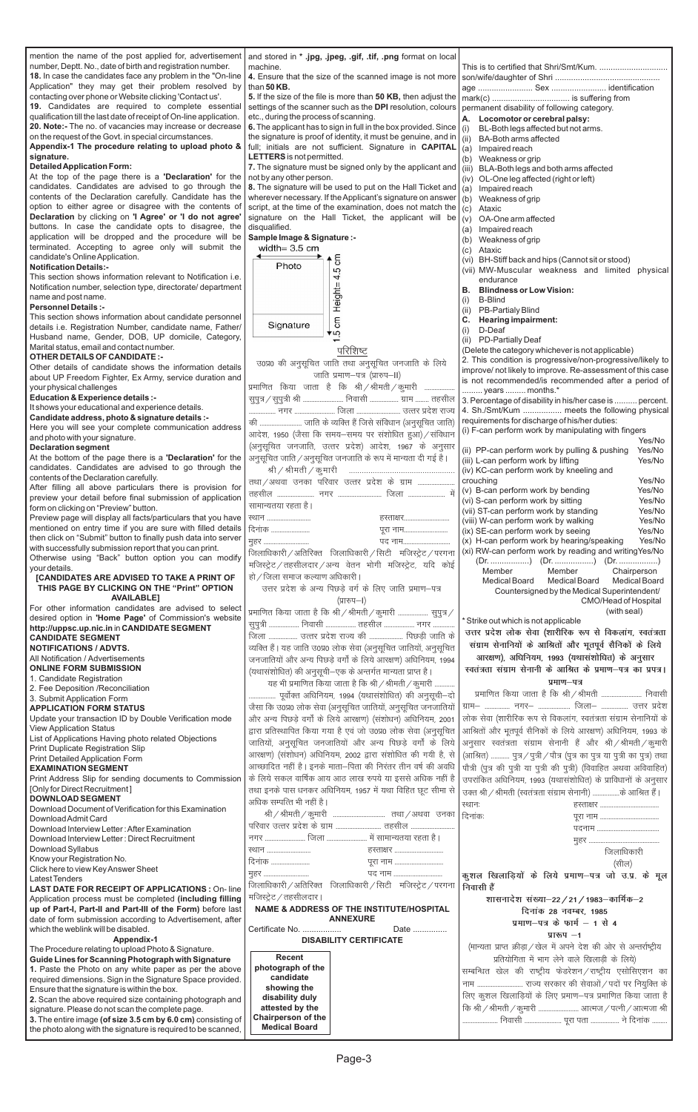Page-3

mention the name of the post applied for, advertisement number, Deptt. No., date of birth and registration number. **18.** In case the candidates face any problem in the "On-line Application" they may get their problem resolved by contacting over phone or Website clicking 'Contact us'.

**19.** Candidates are required to complete essential qualification till the last date of receipt of On-line application. **20. Note:-** The no. of vacancies may increase or decrease on the request of the Govt. in special circumstances.

**Appendix-1 The procedure relating to upload photo & signature.**

#### **Detailed Application Form:**

At the top of the page there is a **'Declaration'** for the candidates. Candidates are advised to go through the contents of the Declaration carefully. Candidate has the option to either agree or disagree with the contents of **Declaration** by clicking on **'I Agree' or 'I do not agree'** buttons. In case the candidate opts to disagree, the application will be dropped and the procedure will be terminated. Accepting to agree only will submit the candidate's Online Application.

#### **Notification Details:-**

This section shows information relevant to Notification i.e. Notification number, selection type, directorate/ department name and post name.

#### **Personnel Details :-**

This section shows information about candidate personnel details i.e. Registration Number, candidate name, Father/ Husband name, Gender, DOB, UP domicile, Category, Marital status, email and contact number.

#### **OTHER DETAILS OF CANDIDATE :-**

Other details of candidate shows the information details about UP Freedom Fighter, Ex Army, service duration and your physical challenges

**Education & Experience details :-**

It shows your educational and experience details.

**Candidate address, photo & signature details :-** Here you will see your complete communication address and photo with your signature.

#### **Declaration segment**

At the bottom of the page there is a **'Declaration'** for the candidates. Candidates are advised to go through the contents of the Declaration carefully.

After filling all above particulars there is provision for preview your detail before final submission of application form on clicking on "Preview" button.

and stored in **\* .jpg, .jpeg, .gif, .tif, .png** format on local machine. 4. Ensure that the size of the scanned image is not mo than **50 KB. 5.** If the size of the file is more than **50 KB**, then adjust the settings of the scanner such as the DPI resolution, colour etc., during the process of scanning. **6.** The applicant has to sign in full in the box provided. Sine the signature is proof of identity, it must be genuine, and full; initials are not sufficient. Signature in CAPITA **LETTERS**is not permitted. **7.** The signature must be signed only by the applicant a not by any other person. **8.** The signature will be used to put on the Hall Ticket and **Sample Image & Signature :** width=  $3.5$  cm 5 Photo  $cm$  Height= $4.5$ 

Preview page will display all facts/particulars that you have mentioned on entry time if you are sure with filled details then click on "Submit" button to finally push data into server with successfully submission report that you can print.

Otherwise using "Back" button option you can modify your details.

**[CANDIDATES ARE ADVISED TO TAKE A PRINT OF THIS PAGE BY CLICKING ON THE "Print" OPTION AVAILABLE]**

wherever necessary. If the Applicant's signature on answ script, at the time of the examination, does not match th signature on the Hall Ticket, the applicant will disqualified.



#### परिशिष्ट

उ0प्र0 की अनुसूचित जाति तथा अनुसूचित जनजाति के लिये जाति प्रमाण-पत्र (प्रारुप-II) प्रमाणित किया जाता है कि श्री $\frac{1}{2}$ श्रीमती $\frac{1}{2}$ कुमारी .....

सुपुत्र / सुपुत्री श्री ........................ निवासी .................. ग्राम ........ तहसी ---------------- uxj ------------------------ ftyk -------------------------- mRrj izns'k jkT; dh ------------------------- tkfr ds O;fDr gSa ftls lafo/kku ¼vuqlwfpr tkfr½ आदेश, 1950 (जैसा कि समय-समय पर संशोधित हुआ) / संविध (अनुसूचित जनजाति, उत्तर प्रदेश) आदेश, 1967 के अनुस अनुसूचित जाति / अनुसूचित जनजाति के रूप में मान्यता दी गई है।

For other information candidates are advised to select desired option in **'Home Page'** of Commission's website **http://uppsc.up.nic.in** in **CANDIDATE SEGMENT**

## **CANDIDATE SEGMENT**

**NOTIFICATIONS / ADVTS.** All Notification / Advertisements

**ONLINE FORM SUBMISSION**

1. Candidate Registration

2. Fee Deposition /Reconciliation

#### 3. Submit Application Form **APPLICATION FORM STATUS**

List of Applications Having photo related Objections Print Duplicate Registration Slip

Print Detailed Application Form

**EXAMINATION SEGMENT**

Print Address Slip for sending documents to Commission [Only for Direct Recruitment ]

#### **DOWNLOAD SEGMENT**

Download Syllabus

Know your Registration No.

Click here to view Key Answer Sheet

**LAST DATE FOR RECEIPT OF APPLICATIONS :** On- line Application process must be completed **(including filling up of Part-I, Part-II and Part-III of the Form)** before last date of form submission according to Advertisement, after which the weblink will be disabled.

View Application Status Update your transaction ID by Double Verification mode

### **Appendix-1**

The Procedure relating to upload Photo & Signature.

## **Guide Lines for Scanning Photograph with Signature**

Download Admit Card Download Document of Verification for this Examination

**1.** Paste the Photo on any white paper as per the above required dimensions. Sign in the Signature Space provided. Ensure that the signature is within the box.

**2.** Scan the above required size containing photograph and signature. Please do not scan the complete page.

**3.** The entire image **(of size 3.5 cm by 6.0 cm)** consisting of the photo along with the signature is required to be scanned,

|                      | This is to certified that Shri/Smt/Kum.                                                   |
|----------------------|-------------------------------------------------------------------------------------------|
| pre l                |                                                                                           |
|                      |                                                                                           |
| he                   |                                                                                           |
| ırs                  | permanent disability of following category.                                               |
|                      | А.<br>Locomotor or cerebral palsy:                                                        |
| ce                   | (i)<br>BL-Both legs affected but not arms.                                                |
| l in                 | (ii) BA-Both arms affected                                                                |
| AL                   | (a)<br>Impaired reach                                                                     |
|                      | Weakness or grip<br>(b)                                                                   |
| nd                   | (iii) BLA-Both legs and both arms affected                                                |
|                      | (iv) OL-One leg affected (right or left)                                                  |
| nd                   | (a)<br>Impaired reach                                                                     |
| /er                  | (b)<br>Weakness of grip                                                                   |
| he                   | (c)<br>Ataxic                                                                             |
| bel                  | (v)<br>OA-One arm affected                                                                |
|                      | (a) Impaired reach                                                                        |
|                      | (b) Weakness of grip                                                                      |
|                      | (c) Ataxic                                                                                |
|                      | (vi) BH-Stiff back and hips (Cannot sit or stood)                                         |
|                      | (vii) MW-Muscular weakness and limited physical                                           |
|                      | endurance<br><b>Blindness or Low Vision:</b>                                              |
|                      | В.<br>B-Blind                                                                             |
|                      | (i)<br>(ii) PB-Partialy Blind                                                             |
|                      | C. Hearing impairment:                                                                    |
|                      | $(i)$ D-Deaf                                                                              |
|                      | (ii) PD-Partially Deaf                                                                    |
|                      | (Delete the category whichever is not applicable)                                         |
|                      | 2. This condition is progressive/non-progressive/likely to                                |
|                      | improve/ not likely to improve. Re-assessment of this case                                |
|                      | is not recommended/is recommended after a period of                                       |
|                      | years  months.*                                                                           |
| लि                   | 3. Percentage of disability in his/her case is  percent.                                  |
| ज्य                  | 4. Sh./Smt/Kum  meets the following physical                                              |
| ते)                  | requirements for discharge of his/her duties:                                             |
| नि                   | (i) F-can perform work by manipulating with fingers                                       |
| ∏र                   | Yes/No                                                                                    |
|                      | (ii) PP-can perform work by pulling & pushing<br>Yes/No                                   |
|                      | (iii) L-can perform work by lifting<br>Yes/No<br>(iv) KC-can perform work by kneeling and |
| .                    | Yes/No<br>crouching                                                                       |
| में                  | (v) B-can perform work by bending<br>Yes/No                                               |
|                      | (vi) S-can perform work by sitting<br>Yes/No                                              |
|                      | (vii) ST-can perform work by standing<br>Yes/No                                           |
| $\ddot{\phantom{0}}$ | (viii) W-can perform work by walking<br>Yes/No                                            |
|                      | (ix) SE-can perform work by seeing<br>Yes/No                                              |
|                      | (x) H-can perform work by hearing/speaking<br>Yes/No                                      |
| ना                   | (xi) RW-can perform work by reading and writingYes/No                                     |
| गेई                  |                                                                                           |
|                      | Member<br>Member<br>Chairperson                                                           |
|                      | <b>Medical Board</b><br><b>Medical Board</b><br><b>Medical Board</b>                      |
|                      | Countersigned by the Medical Superintendent/                                              |
|                      | CMO/Head of Hospital                                                                      |
|                      | (with seal)<br>* Strike out which is not applicable                                       |
|                      | उत्तर प्रदेश लोक सेवा (शारीरिक रूप से विकलांग, स्वतंत्रता                                 |
| के                   |                                                                                           |
| ग्रेत                | संग्राम सेनानियों के आश्रितों और भूतपूर्व सैनिकों के लिये                                 |
| 94                   | आरक्षण), अधिनियम, 1993 (यथासंशोधित) के अनुसार                                             |
|                      | स्वतंत्रता संग्राम सेनानी के आश्रित के प्रमाण-पत्र का प्रपत्र।                            |
|                      | प्रमाण-पत्र                                                                               |
| <br>दो               | प्रमाणित किया जाता है कि श्री / श्रीमती  निवासी                                           |
| यों                  | ग्राम-  नगर-  जिला-  उत्तर प्रदेश                                                         |
|                      |                                                                                           |
| 01                   | लोक सेवा (शारीरिक रूप से विकलांग, स्वतंत्रता संग्राम सेनानियों के                         |
| ग्रेत                | आश्रितों और भूतपूर्व सैनिकों के लिये आरक्षण) अधिनियम, 1993 के                             |
| गये                  | अनुसार स्वतंत्रता संग्राम सेनानी हैं और श्री/श्रीमती/कुमारी                               |
| से                   | (आश्रित)  पुत्र / पुत्री / पौत्र (पुत्र का पुत्र या पुत्री का पुत्र) तथा                  |
| धि                   | पौत्री (पुत्र की पुत्री या पुत्री की पुत्री) (विवाहित अथवा अविवाहित)                      |
| े है                 | उपरांकित अधिनियम, 1993 (यथासंशोधित) के प्राविधानों के अनुसार                              |
|                      |                                                                                           |

उक्त श्री / श्रीमती (स्वतंत्रता संग्राम सेनानी) ................के आश्रित हैं ।

Download Interview Letter : After Examination

Download Interview Letter : Direct Recruitment

Latest Tenders

| तथा / अथवा उनका परिवार उत्तर प्रदेश के ग्राम |  |           |
|----------------------------------------------|--|-----------|
|                                              |  |           |
| सामान्यतया रहता है।                          |  |           |
|                                              |  | हस्ताक्षर |
| दिनांक                                       |  | पूरा नाम  |
| मुहर                                         |  | पद नाम    |

 $\frac{1}{2}$ जिलाधिकारी / अतिरिक्त जिलाधिकारी / सिटी मजिस्ट्रेट / परग मजिस्ट्रेट / तहसीलदार / अन्य वेतन भोगी मजिस्ट्रेट, यदि क हो / जिला समाज कल्याण अधिकारी |

उत्तर प्रदेश के अन्य पिछड़े वर्ग के लिए जाति प्रमाण-पत्र (प्रारुप–I)

प्रमाणित किया जाता है कि श्री / श्रीमती / कुमारी .................... सुपुत्र lqiq=h ------------------ fuoklh ------------------ rglhy ------------------ uxj ------------- जिला ................. उत्तर प्रदेश राज्य की .................... पिछड़ी जाति व्यक्ति हैं। यह जाति उ0प्र0 लोक सेवा (अनुसूचित जातियों, अनुसूचि जनजातियों और अन्य पिछड़े वर्गों के लिये आरक्षण) अधिनियम, 19 (यथासंशोधित) की अनुसूची–एक के अन्तर्गत मान्यता प्राप्त है। यह भी प्रमाणित किया जाता है कि श्री  $/$  श्रीमती $/$  कुमारी ........

...... पूर्वोक्त अधिनियम, 1994 (यथासंशोधित) की अनुसूची— जैसा कि उ0प्र0 लोक सेवा (अनुसूचित जातियों, अनुसूचित जनजाति और अन्य पिछड़े वर्गों के लिये आरक्षण) (संशोधन) अधिनियम, 20 द्वारा प्रतिस्थापित किया गया है एवं जो उ0प्र0 लोक सेवा (अनुसूचि जातियों, अनुसूचित जनजातियों और अन्य पिछड़े वर्गों के लि आरक्षण) (संशोधन) अधिनियम, 2002 द्वारा संशोधित की गयी है, आच्छादित नहीं है। इनके माता–पिता की निरंतर तीन वर्ष की अव के लिये सकल वार्षिक आय आठ लाख रुपये या इससे अधिक नहीं तथा इनके पास धनकर अधिनियम, 1957 में यथा विहित छूट सीमा से अधिक सम्पत्ति भी नहीं है।

Jh@Jherh@dqekjh ------------------------------- rFkk@vFkok mudk

|                                                   |                                                            | दिनांकः                                                              |
|---------------------------------------------------|------------------------------------------------------------|----------------------------------------------------------------------|
|                                                   |                                                            |                                                                      |
|                                                   | नगर  जिला  में सामान्यतया रहता है।                         |                                                                      |
| स्थान                                             | हस्ताक्षर                                                  | जिलाधिकारी                                                           |
| दिनांक                                            | पूरा नाम                                                   | (सील)                                                                |
| मुहर                                              | पद नाम                                                     | कुशल खिलाड़ियों के लिये प्रमाण-पत्र जो उ.प्र. के मूल                 |
|                                                   | जिलाधिकारी / अतिरिक्त जिलाधिकारी / सिटी मजिस्ट्रेट / परगना | निवासी हैं                                                           |
| मजिस्ट्रेट / तहसीलदार।                            |                                                            | शासनादेश संख्या-22 / 21 / 1983-कार्मिक-2                             |
|                                                   | <b>NAME &amp; ADDRESS OF THE INSTITUTE/HOSPITAL</b>        | दिनांक 28 नवम्बर, 1985                                               |
|                                                   | <b>ANNEXURE</b>                                            | प्रमाण-पत्र के फार्म $-1$ से 4                                       |
| Certificate No.                                   | Date                                                       | प्रारूप $-1$                                                         |
|                                                   | <b>DISABILITY CERTIFICATE</b>                              | (मान्यता प्राप्त क्रीड़ा / खेल में अपने देश की ओर से अन्तर्राष्ट्रीय |
| <b>Recent</b>                                     |                                                            | प्रतियोगिता में भाग लेने वाले खिलाड़ी के लिये)                       |
| photograph of the                                 |                                                            | सम्बन्धित खेल की राष्ट्रीय फेडरेशन/राष्ट्रीय एसोसिएशन का             |
| candidate                                         |                                                            | नाम  राज्य सरकार की सेवाओं / पदों पर नियुक्ति के                     |
| showing the                                       |                                                            |                                                                      |
| disability duly                                   |                                                            | लिए कुशल खिलाड़ियों के लिए प्रमाण–पत्र प्रमाणित किया जाता है         |
| attested by the                                   |                                                            | कि श्री / श्रीमती / कुमारी  आत्मज / पत्नी / आत्मजा श्री              |
| <b>Chairperson of the</b><br><b>Medical Board</b> |                                                            | निवासी  पूरा पता  ने दिनांक                                          |
|                                                   |                                                            |                                                                      |

LFkku% gLrk{kj -----------------------------------